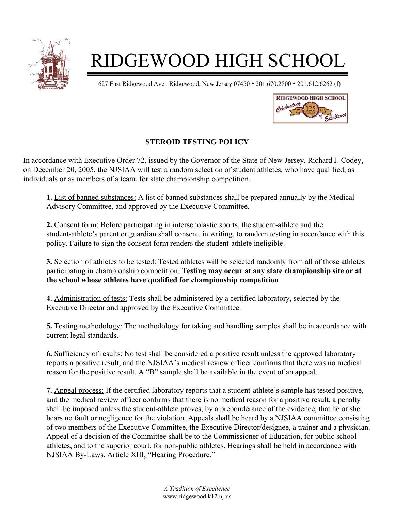

## RIDGEWOOD HIGH SCHOOL

627 East Ridgewood Ave., Ridgewood, New Jersey 07450 • 201.670.2800 • 201.612.6262 (f)



## **STEROID TESTING POLICY**

In accordance with Executive Order 72, issued by the Governor of the State of New Jersey, Richard J. Codey, on December 20, 2005, the NJSIAA will test a random selection of student athletes, who have qualified, as individuals or as members of a team, for state championship competition.

**1.** List of banned substances: A list of banned substances shall be prepared annually by the Medical Advisory Committee, and approved by the Executive Committee.

**2.** Consent form: Before participating in interscholastic sports, the student-athlete and the student-athlete's parent or guardian shall consent, in writing, to random testing in accordance with this policy. Failure to sign the consent form renders the student-athlete ineligible.

**3.** Selection of athletes to be tested: Tested athletes will be selected randomly from all of those athletes participating in championship competition. **Testing may occur at any state championship site or at the school whose athletes have qualified for championship competition**

**4.** Administration of tests: Tests shall be administered by a certified laboratory, selected by the Executive Director and approved by the Executive Committee.

**5.** Testing methodology: The methodology for taking and handling samples shall be in accordance with current legal standards.

**6.** Sufficiency of results: No test shall be considered a positive result unless the approved laboratory reports a positive result, and the NJSIAA's medical review officer confirms that there was no medical reason for the positive result. A "B" sample shall be available in the event of an appeal.

**7.** Appeal process: If the certified laboratory reports that a student-athlete's sample has tested positive, and the medical review officer confirms that there is no medical reason for a positive result, a penalty shall be imposed unless the student-athlete proves, by a preponderance of the evidence, that he or she bears no fault or negligence for the violation. Appeals shall be heard by a NJSIAA committee consisting of two members of the Executive Committee, the Executive Director/designee, a trainer and a physician. Appeal of a decision of the Committee shall be to the Commissioner of Education, for public school athletes, and to the superior court, for non-public athletes. Hearings shall be held in accordance with NJSIAA By-Laws, Article XIII, "Hearing Procedure."